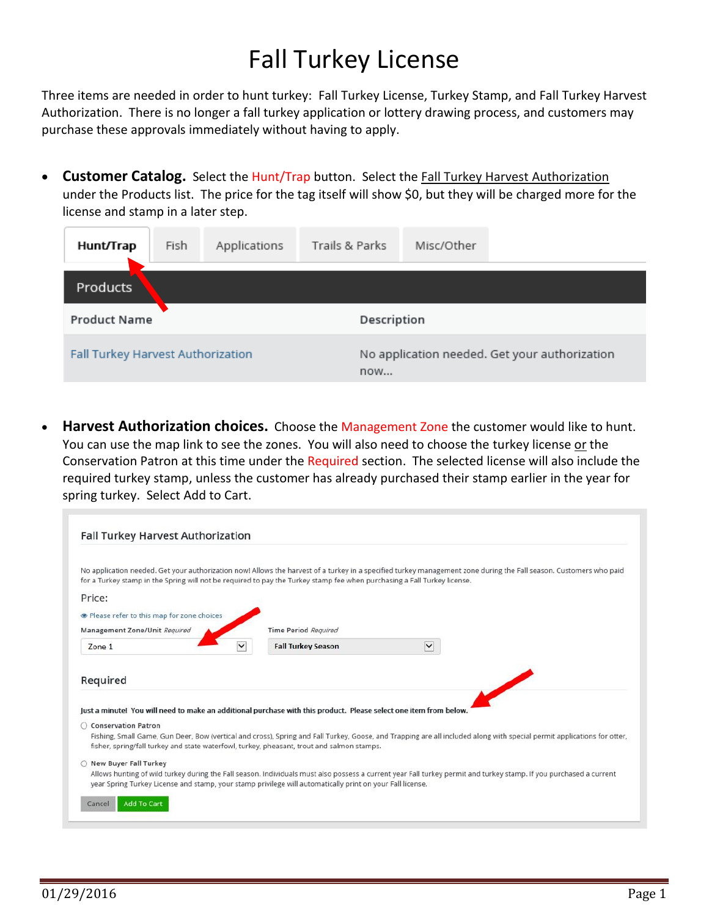## Fall Turkey License

Three items are needed in order to hunt turkey: Fall Turkey License, Turkey Stamp, and Fall Turkey Harvest Authorization. There is no longer a fall turkey application or lottery drawing process, and customers may purchase these approvals immediately without having to apply.

• **Customer Catalog.** Select the Hunt/Trap button. Select the Fall Turkey Harvest Authorization under the Products list. The price for the tag itself will show \$0, but they will be charged more for the license and stamp in a later step.

| Hunt/Trap                         | Fish | Applications | Trails & Parks | Misc/Other                                           |  |  |  |  |  |  |
|-----------------------------------|------|--------------|----------------|------------------------------------------------------|--|--|--|--|--|--|
| Products                          |      |              |                |                                                      |  |  |  |  |  |  |
| <b>Product Name</b>               |      |              |                | Description                                          |  |  |  |  |  |  |
| Fall Turkey Harvest Authorization |      |              |                | No application needed. Get your authorization<br>now |  |  |  |  |  |  |

• **Harvest Authorization choices.** Choose the Management Zone the customer would like to hunt. You can use the map link to see the zones. You will also need to choose the turkey license or the Conservation Patron at this time under the Required section. The selected license will also include the required turkey stamp, unless the customer has already purchased their stamp earlier in the year for spring turkey. Select Add to Cart.

| <b>Fall Turkey Harvest Authorization</b>                                                                                             |                           |             |                                                                                                                                                                         |
|--------------------------------------------------------------------------------------------------------------------------------------|---------------------------|-------------|-------------------------------------------------------------------------------------------------------------------------------------------------------------------------|
| for a Turkey stamp in the Spring will not be required to pay the Turkey stamp fee when purchasing a Fall Turkey license.             |                           |             | No application needed. Get your authorization now! Allows the harvest of a turkey in a specified turkey management zone during the Fall season. Customers who paid      |
| Price:                                                                                                                               |                           |             |                                                                                                                                                                         |
| lease refer to this map for zone choices<br>Management Zone/Unit Required                                                            | Time Period Required      |             |                                                                                                                                                                         |
| Zone 1                                                                                                                               | <b>Fall Turkey Season</b> | $\check{~}$ |                                                                                                                                                                         |
| Required<br>Just a minutel You will need to make an additional purchase with this product. Please select one item from below.        |                           |             |                                                                                                                                                                         |
| ○ Conservation Patron<br>fisher, spring/fall turkey and state waterfowl, turkey, pheasant, trout and salmon stamps.                  |                           |             | Fishing, Small Game, Gun Deer, Bow (vertical and cross), Spring and Fall Turkey, Goose, and Trapping are all included along with special permit applications for otter, |
| O New Buyer Fall Turkey<br>year Spring Turkey License and stamp, your stamp privilege will automatically print on your Fall license. |                           |             | Allows hunting of wild turkey during the Fall season. Individuals must also possess a current year Fall turkey permit and turkey stamp. If you purchased a current      |
| <b>Add To Cart</b><br>Cancel                                                                                                         |                           |             |                                                                                                                                                                         |